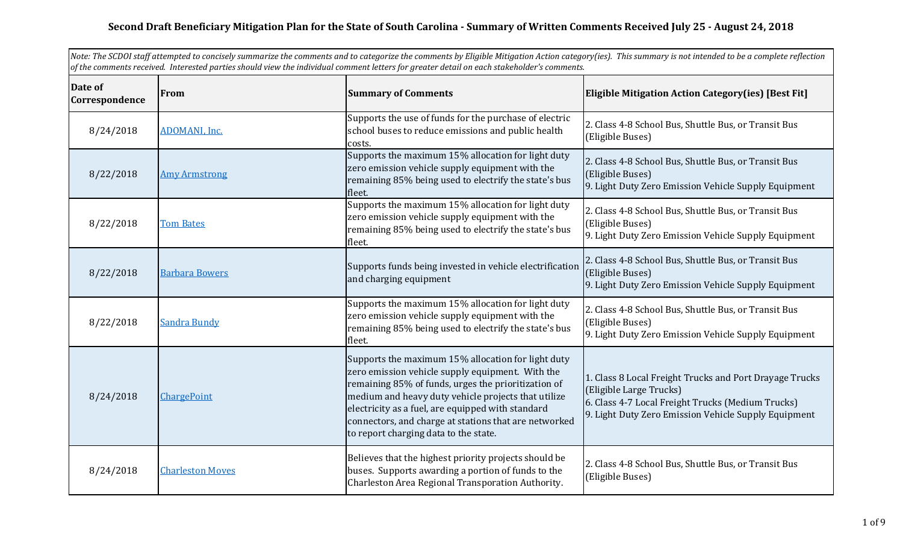## **Second Draft Beneficiary Mitigation Plan for the State of South Carolina - Summary of Written Comments Received July 25 - August 24, 2018**

| Note: The SCDOI staff attempted to concisely summarize the comments and to categorize the comments by Eligible Mitigation Action category(ies). This summary is not intended to be a complete reflection<br>of the comments received. Interested parties should view the individual comment letters for greater detail on each stakeholder's comments. |                         |                                                                                                                                                                                                                                                                                                                                                                             |                                                                                                                                                                                                 |
|--------------------------------------------------------------------------------------------------------------------------------------------------------------------------------------------------------------------------------------------------------------------------------------------------------------------------------------------------------|-------------------------|-----------------------------------------------------------------------------------------------------------------------------------------------------------------------------------------------------------------------------------------------------------------------------------------------------------------------------------------------------------------------------|-------------------------------------------------------------------------------------------------------------------------------------------------------------------------------------------------|
| Date of<br>Correspondence                                                                                                                                                                                                                                                                                                                              | From                    | <b>Summary of Comments</b>                                                                                                                                                                                                                                                                                                                                                  | <b>Eligible Mitigation Action Category(ies) [Best Fit]</b>                                                                                                                                      |
| 8/24/2018                                                                                                                                                                                                                                                                                                                                              | ADOMANI, Inc.           | Supports the use of funds for the purchase of electric<br>school buses to reduce emissions and public health<br>costs.                                                                                                                                                                                                                                                      | 2. Class 4-8 School Bus, Shuttle Bus, or Transit Bus<br>(Eligible Buses)                                                                                                                        |
| 8/22/2018                                                                                                                                                                                                                                                                                                                                              | <b>Amy Armstrong</b>    | Supports the maximum 15% allocation for light duty<br>zero emission vehicle supply equipment with the<br>remaining 85% being used to electrify the state's bus<br>fleet.                                                                                                                                                                                                    | 2. Class 4-8 School Bus, Shuttle Bus, or Transit Bus<br>(Eligible Buses)<br>9. Light Duty Zero Emission Vehicle Supply Equipment                                                                |
| 8/22/2018                                                                                                                                                                                                                                                                                                                                              | <b>Tom Bates</b>        | Supports the maximum 15% allocation for light duty<br>zero emission vehicle supply equipment with the<br>remaining 85% being used to electrify the state's bus<br>fleet.                                                                                                                                                                                                    | 2. Class 4-8 School Bus, Shuttle Bus, or Transit Bus<br>(Eligible Buses)<br>9. Light Duty Zero Emission Vehicle Supply Equipment                                                                |
| 8/22/2018                                                                                                                                                                                                                                                                                                                                              | <b>Barbara Bowers</b>   | Supports funds being invested in vehicle electrification<br>and charging equipment                                                                                                                                                                                                                                                                                          | 2. Class 4-8 School Bus, Shuttle Bus, or Transit Bus<br>(Eligible Buses)<br>9. Light Duty Zero Emission Vehicle Supply Equipment                                                                |
| 8/22/2018                                                                                                                                                                                                                                                                                                                                              | <b>Sandra Bundy</b>     | Supports the maximum 15% allocation for light duty<br>zero emission vehicle supply equipment with the<br>remaining 85% being used to electrify the state's bus<br>fleet.                                                                                                                                                                                                    | 2. Class 4-8 School Bus, Shuttle Bus, or Transit Bus<br>(Eligible Buses)<br>9. Light Duty Zero Emission Vehicle Supply Equipment                                                                |
| 8/24/2018                                                                                                                                                                                                                                                                                                                                              | ChargePoint             | Supports the maximum 15% allocation for light duty<br>zero emission vehicle supply equipment. With the<br>remaining 85% of funds, urges the prioritization of<br>medium and heavy duty vehicle projects that utilize<br>electricity as a fuel, are equipped with standard<br>connectors, and charge at stations that are networked<br>to report charging data to the state. | 1. Class 8 Local Freight Trucks and Port Drayage Trucks<br>(Eligible Large Trucks)<br>6. Class 4-7 Local Freight Trucks (Medium Trucks)<br>9. Light Duty Zero Emission Vehicle Supply Equipment |
| 8/24/2018                                                                                                                                                                                                                                                                                                                                              | <b>Charleston Moves</b> | Believes that the highest priority projects should be<br>buses. Supports awarding a portion of funds to the<br>Charleston Area Regional Transporation Authority.                                                                                                                                                                                                            | 2. Class 4-8 School Bus, Shuttle Bus, or Transit Bus<br>(Eligible Buses)                                                                                                                        |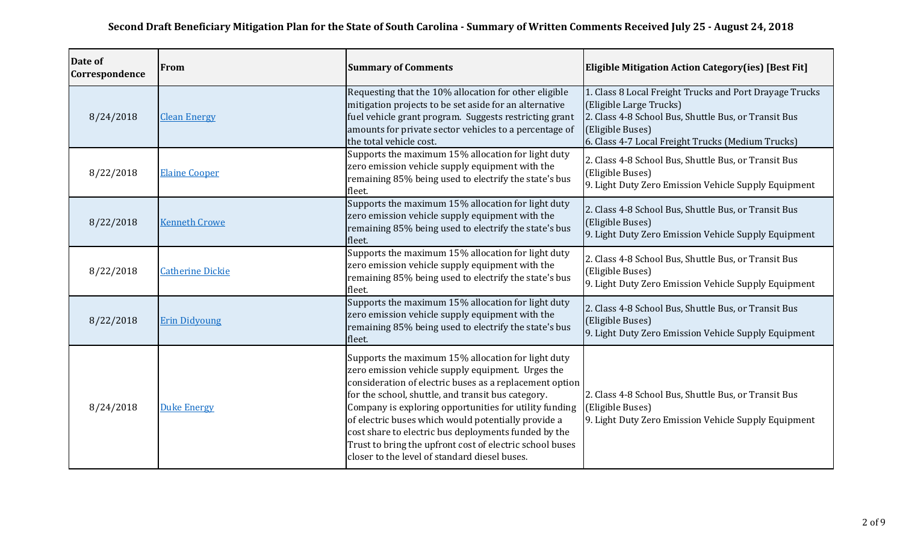| Date of<br>Correspondence | <b>From</b>             | <b>Summary of Comments</b>                                                                                                                                                                                                                                                                                                                                                                                                                                                                                     | <b>Eligible Mitigation Action Category (ies) [Best Fit]</b>                                                                                                                                                         |
|---------------------------|-------------------------|----------------------------------------------------------------------------------------------------------------------------------------------------------------------------------------------------------------------------------------------------------------------------------------------------------------------------------------------------------------------------------------------------------------------------------------------------------------------------------------------------------------|---------------------------------------------------------------------------------------------------------------------------------------------------------------------------------------------------------------------|
| 8/24/2018                 | <b>Clean Energy</b>     | Requesting that the 10% allocation for other eligible<br>mitigation projects to be set aside for an alternative<br>fuel vehicle grant program. Suggests restricting grant<br>amounts for private sector vehicles to a percentage of<br>the total vehicle cost.                                                                                                                                                                                                                                                 | 1. Class 8 Local Freight Trucks and Port Drayage Trucks<br>(Eligible Large Trucks)<br>2. Class 4-8 School Bus, Shuttle Bus, or Transit Bus<br>(Eligible Buses)<br>6. Class 4-7 Local Freight Trucks (Medium Trucks) |
| 8/22/2018                 | <b>Elaine Cooper</b>    | Supports the maximum 15% allocation for light duty<br>zero emission vehicle supply equipment with the<br>remaining 85% being used to electrify the state's bus<br>fleet.                                                                                                                                                                                                                                                                                                                                       | 2. Class 4-8 School Bus, Shuttle Bus, or Transit Bus<br>(Eligible Buses)<br>9. Light Duty Zero Emission Vehicle Supply Equipment                                                                                    |
| 8/22/2018                 | <b>Kenneth Crowe</b>    | Supports the maximum 15% allocation for light duty<br>zero emission vehicle supply equipment with the<br>remaining 85% being used to electrify the state's bus<br>fleet.                                                                                                                                                                                                                                                                                                                                       | 2. Class 4-8 School Bus, Shuttle Bus, or Transit Bus<br>(Eligible Buses)<br>9. Light Duty Zero Emission Vehicle Supply Equipment                                                                                    |
| 8/22/2018                 | <b>Catherine Dickie</b> | Supports the maximum 15% allocation for light duty<br>zero emission vehicle supply equipment with the<br>remaining 85% being used to electrify the state's bus<br>fleet.                                                                                                                                                                                                                                                                                                                                       | 2. Class 4-8 School Bus, Shuttle Bus, or Transit Bus<br>(Eligible Buses)<br>9. Light Duty Zero Emission Vehicle Supply Equipment                                                                                    |
| 8/22/2018                 | <b>Erin Didyoung</b>    | Supports the maximum 15% allocation for light duty<br>zero emission vehicle supply equipment with the<br>remaining 85% being used to electrify the state's bus<br>fleet.                                                                                                                                                                                                                                                                                                                                       | 2. Class 4-8 School Bus, Shuttle Bus, or Transit Bus<br>(Eligible Buses)<br>9. Light Duty Zero Emission Vehicle Supply Equipment                                                                                    |
| 8/24/2018                 | <b>Duke Energy</b>      | Supports the maximum 15% allocation for light duty<br>zero emission vehicle supply equipment. Urges the<br>consideration of electric buses as a replacement option<br>for the school, shuttle, and transit bus category.<br>Company is exploring opportunities for utility funding<br>of electric buses which would potentially provide a<br>cost share to electric bus deployments funded by the<br>Trust to bring the upfront cost of electric school buses<br>closer to the level of standard diesel buses. | 2. Class 4-8 School Bus, Shuttle Bus, or Transit Bus<br>(Eligible Buses)<br>9. Light Duty Zero Emission Vehicle Supply Equipment                                                                                    |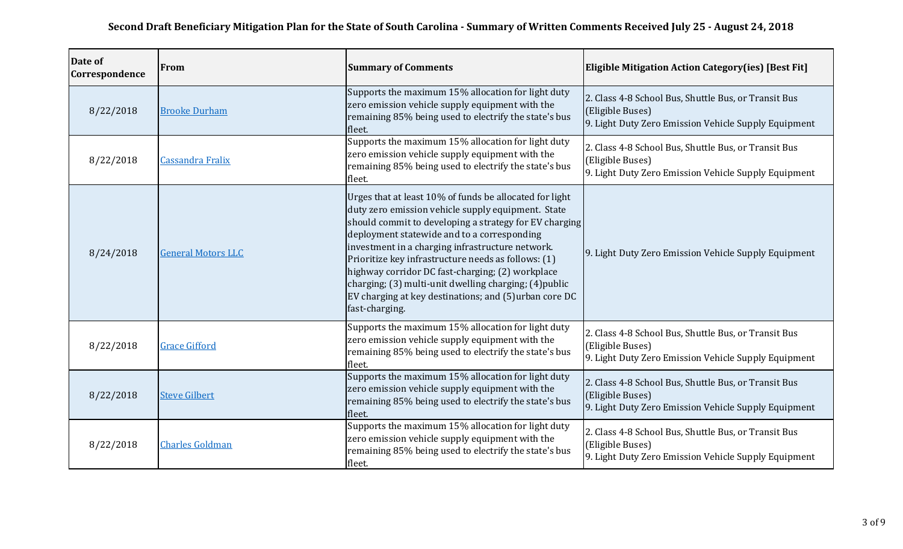| Date of<br>Correspondence | From                      | <b>Summary of Comments</b>                                                                                                                                                                                                                                                                                                                                                                                                                                                                                                 | <b>Eligible Mitigation Action Category (ies) [Best Fit]</b>                                                                      |
|---------------------------|---------------------------|----------------------------------------------------------------------------------------------------------------------------------------------------------------------------------------------------------------------------------------------------------------------------------------------------------------------------------------------------------------------------------------------------------------------------------------------------------------------------------------------------------------------------|----------------------------------------------------------------------------------------------------------------------------------|
| 8/22/2018                 | <b>Brooke Durham</b>      | Supports the maximum 15% allocation for light duty<br>zero emission vehicle supply equipment with the<br>remaining 85% being used to electrify the state's bus<br>fleet.                                                                                                                                                                                                                                                                                                                                                   | 2. Class 4-8 School Bus, Shuttle Bus, or Transit Bus<br>(Eligible Buses)<br>9. Light Duty Zero Emission Vehicle Supply Equipment |
| 8/22/2018                 | <b>Cassandra Fralix</b>   | Supports the maximum 15% allocation for light duty<br>zero emission vehicle supply equipment with the<br>remaining 85% being used to electrify the state's bus<br>fleet.                                                                                                                                                                                                                                                                                                                                                   | 2. Class 4-8 School Bus, Shuttle Bus, or Transit Bus<br>(Eligible Buses)<br>9. Light Duty Zero Emission Vehicle Supply Equipment |
| 8/24/2018                 | <b>General Motors LLC</b> | Urges that at least 10% of funds be allocated for light<br>duty zero emission vehicle supply equipment. State<br>should commit to developing a strategy for EV charging<br>deployment statewide and to a corresponding<br>investment in a charging infrastructure network.<br>Prioritize key infrastructure needs as follows: (1)<br>highway corridor DC fast-charging; (2) workplace<br>charging; (3) multi-unit dwelling charging; (4) public<br>EV charging at key destinations; and (5)urban core DC<br>fast-charging. | 9. Light Duty Zero Emission Vehicle Supply Equipment                                                                             |
| 8/22/2018                 | <b>Grace Gifford</b>      | Supports the maximum 15% allocation for light duty<br>zero emission vehicle supply equipment with the<br>remaining 85% being used to electrify the state's bus<br>fleet.                                                                                                                                                                                                                                                                                                                                                   | 2. Class 4-8 School Bus, Shuttle Bus, or Transit Bus<br>(Eligible Buses)<br>9. Light Duty Zero Emission Vehicle Supply Equipment |
| 8/22/2018                 | <b>Steve Gilbert</b>      | Supports the maximum 15% allocation for light duty<br>zero emission vehicle supply equipment with the<br>remaining 85% being used to electrify the state's bus<br>fleet.                                                                                                                                                                                                                                                                                                                                                   | 2. Class 4-8 School Bus, Shuttle Bus, or Transit Bus<br>(Eligible Buses)<br>9. Light Duty Zero Emission Vehicle Supply Equipment |
| 8/22/2018                 | <b>Charles Goldman</b>    | Supports the maximum 15% allocation for light duty<br>zero emission vehicle supply equipment with the<br>remaining 85% being used to electrify the state's bus<br>fleet.                                                                                                                                                                                                                                                                                                                                                   | 2. Class 4-8 School Bus, Shuttle Bus, or Transit Bus<br>(Eligible Buses)<br>9. Light Duty Zero Emission Vehicle Supply Equipment |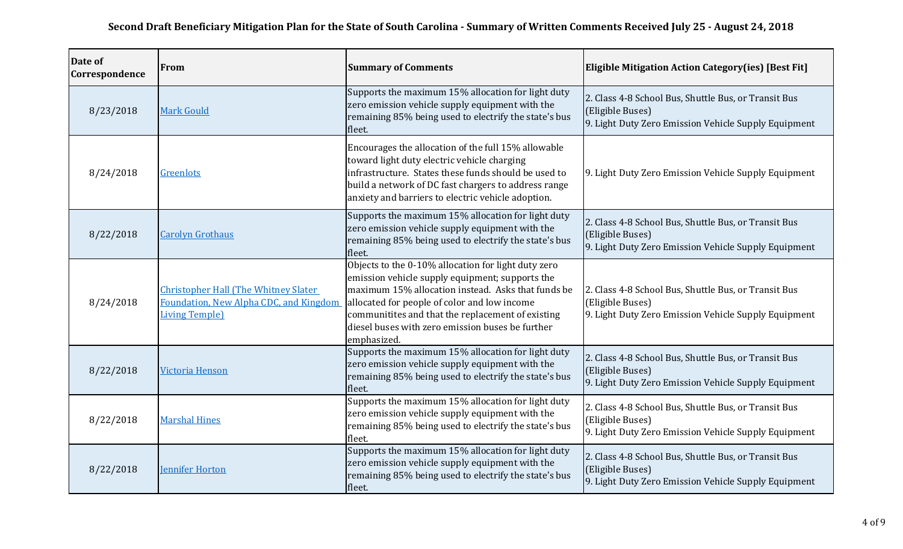| Date of<br>Correspondence | From                                                                                                             | <b>Summary of Comments</b>                                                                                                                                                                                                                                                                                                           | <b>Eligible Mitigation Action Category(ies) [Best Fit]</b>                                                                       |
|---------------------------|------------------------------------------------------------------------------------------------------------------|--------------------------------------------------------------------------------------------------------------------------------------------------------------------------------------------------------------------------------------------------------------------------------------------------------------------------------------|----------------------------------------------------------------------------------------------------------------------------------|
| 8/23/2018                 | <b>Mark Gould</b>                                                                                                | Supports the maximum 15% allocation for light duty<br>zero emission vehicle supply equipment with the<br>remaining 85% being used to electrify the state's bus<br>fleet.                                                                                                                                                             | 2. Class 4-8 School Bus, Shuttle Bus, or Transit Bus<br>(Eligible Buses)<br>9. Light Duty Zero Emission Vehicle Supply Equipment |
| 8/24/2018                 | Greenlots                                                                                                        | Encourages the allocation of the full 15% allowable<br>toward light duty electric vehicle charging<br>infrastructure. States these funds should be used to<br>build a network of DC fast chargers to address range<br>anxiety and barriers to electric vehicle adoption.                                                             | 9. Light Duty Zero Emission Vehicle Supply Equipment                                                                             |
| 8/22/2018                 | <b>Carolyn Grothaus</b>                                                                                          | Supports the maximum 15% allocation for light duty<br>zero emission vehicle supply equipment with the<br>remaining 85% being used to electrify the state's bus<br>fleet.                                                                                                                                                             | 2. Class 4-8 School Bus, Shuttle Bus, or Transit Bus<br>(Eligible Buses)<br>9. Light Duty Zero Emission Vehicle Supply Equipment |
| 8/24/2018                 | <b>Christopher Hall (The Whitney Slater)</b><br>Foundation, New Alpha CDC, and Kingdom<br><b>Living Temple</b> ) | Objects to the 0-10% allocation for light duty zero<br>emission vehicle supply equipment; supports the<br>maximum 15% allocation instead. Asks that funds be<br>allocated for people of color and low income<br>communitites and that the replacement of existing<br>diesel buses with zero emission buses be further<br>emphasized. | 2. Class 4-8 School Bus, Shuttle Bus, or Transit Bus<br>(Eligible Buses)<br>9. Light Duty Zero Emission Vehicle Supply Equipment |
| 8/22/2018                 | Victoria Henson                                                                                                  | Supports the maximum 15% allocation for light duty<br>zero emission vehicle supply equipment with the<br>remaining 85% being used to electrify the state's bus<br>fleet.                                                                                                                                                             | 2. Class 4-8 School Bus, Shuttle Bus, or Transit Bus<br>(Eligible Buses)<br>9. Light Duty Zero Emission Vehicle Supply Equipment |
| 8/22/2018                 | <b>Marshal Hines</b>                                                                                             | Supports the maximum 15% allocation for light duty<br>zero emission vehicle supply equipment with the<br>remaining 85% being used to electrify the state's bus<br>fleet.                                                                                                                                                             | 2. Class 4-8 School Bus, Shuttle Bus, or Transit Bus<br>(Eligible Buses)<br>9. Light Duty Zero Emission Vehicle Supply Equipment |
| 8/22/2018                 | <b>Jennifer Horton</b>                                                                                           | Supports the maximum 15% allocation for light duty<br>zero emission vehicle supply equipment with the<br>remaining 85% being used to electrify the state's bus<br>fleet.                                                                                                                                                             | 2. Class 4-8 School Bus, Shuttle Bus, or Transit Bus<br>(Eligible Buses)<br>9. Light Duty Zero Emission Vehicle Supply Equipment |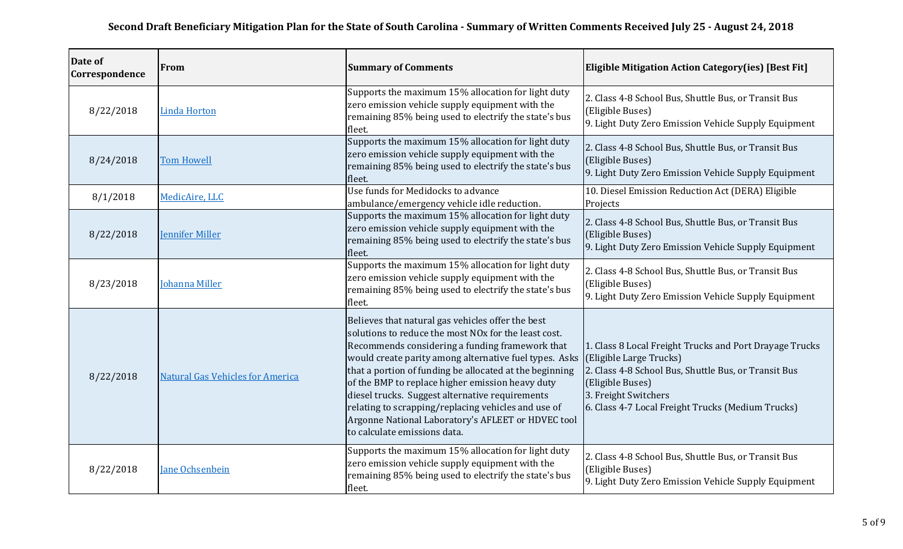| Date of<br>Correspondence | From                                    | <b>Summary of Comments</b>                                                                                                                                                                                                                                                                                                                                                                                                                                                                                                                        | <b>Eligible Mitigation Action Category(ies) [Best Fit]</b>                                                                                                                                                                                  |
|---------------------------|-----------------------------------------|---------------------------------------------------------------------------------------------------------------------------------------------------------------------------------------------------------------------------------------------------------------------------------------------------------------------------------------------------------------------------------------------------------------------------------------------------------------------------------------------------------------------------------------------------|---------------------------------------------------------------------------------------------------------------------------------------------------------------------------------------------------------------------------------------------|
| 8/22/2018                 | <b>Linda Horton</b>                     | Supports the maximum 15% allocation for light duty<br>zero emission vehicle supply equipment with the<br>remaining 85% being used to electrify the state's bus<br>fleet.                                                                                                                                                                                                                                                                                                                                                                          | 2. Class 4-8 School Bus, Shuttle Bus, or Transit Bus<br>(Eligible Buses)<br>9. Light Duty Zero Emission Vehicle Supply Equipment                                                                                                            |
| 8/24/2018                 | <b>Tom Howell</b>                       | Supports the maximum 15% allocation for light duty<br>zero emission vehicle supply equipment with the<br>remaining 85% being used to electrify the state's bus<br>fleet.                                                                                                                                                                                                                                                                                                                                                                          | 2. Class 4-8 School Bus, Shuttle Bus, or Transit Bus<br>(Eligible Buses)<br>9. Light Duty Zero Emission Vehicle Supply Equipment                                                                                                            |
| 8/1/2018                  | MedicAire, LLC                          | Use funds for Medidocks to advance<br>ambulance/emergency vehicle idle reduction.                                                                                                                                                                                                                                                                                                                                                                                                                                                                 | 10. Diesel Emission Reduction Act (DERA) Eligible<br>Projects                                                                                                                                                                               |
| 8/22/2018                 | <b>Jennifer Miller</b>                  | Supports the maximum 15% allocation for light duty<br>zero emission vehicle supply equipment with the<br>remaining 85% being used to electrify the state's bus<br>fleet.                                                                                                                                                                                                                                                                                                                                                                          | 2. Class 4-8 School Bus, Shuttle Bus, or Transit Bus<br>(Eligible Buses)<br>9. Light Duty Zero Emission Vehicle Supply Equipment                                                                                                            |
| 8/23/2018                 | <b>Johanna Miller</b>                   | Supports the maximum 15% allocation for light duty<br>zero emission vehicle supply equipment with the<br>remaining 85% being used to electrify the state's bus<br>fleet.                                                                                                                                                                                                                                                                                                                                                                          | 2. Class 4-8 School Bus, Shuttle Bus, or Transit Bus<br>(Eligible Buses)<br>9. Light Duty Zero Emission Vehicle Supply Equipment                                                                                                            |
| 8/22/2018                 | <b>Natural Gas Vehicles for America</b> | Believes that natural gas vehicles offer the best<br>solutions to reduce the most NO <sub>x</sub> for the least cost.<br>Recommends considering a funding framework that<br>would create parity among alternative fuel types. Asks<br>that a portion of funding be allocated at the beginning<br>of the BMP to replace higher emission heavy duty<br>diesel trucks. Suggest alternative requirements<br>relating to scrapping/replacing vehicles and use of<br>Argonne National Laboratory's AFLEET or HDVEC tool<br>to calculate emissions data. | 1. Class 8 Local Freight Trucks and Port Drayage Trucks<br>(Eligible Large Trucks)<br>2. Class 4-8 School Bus, Shuttle Bus, or Transit Bus<br>(Eligible Buses)<br>3. Freight Switchers<br>6. Class 4-7 Local Freight Trucks (Medium Trucks) |
| 8/22/2018                 | <b>Jane Ochsenbein</b>                  | Supports the maximum 15% allocation for light duty<br>zero emission vehicle supply equipment with the<br>remaining 85% being used to electrify the state's bus<br>fleet.                                                                                                                                                                                                                                                                                                                                                                          | 2. Class 4-8 School Bus, Shuttle Bus, or Transit Bus<br>(Eligible Buses)<br>9. Light Duty Zero Emission Vehicle Supply Equipment                                                                                                            |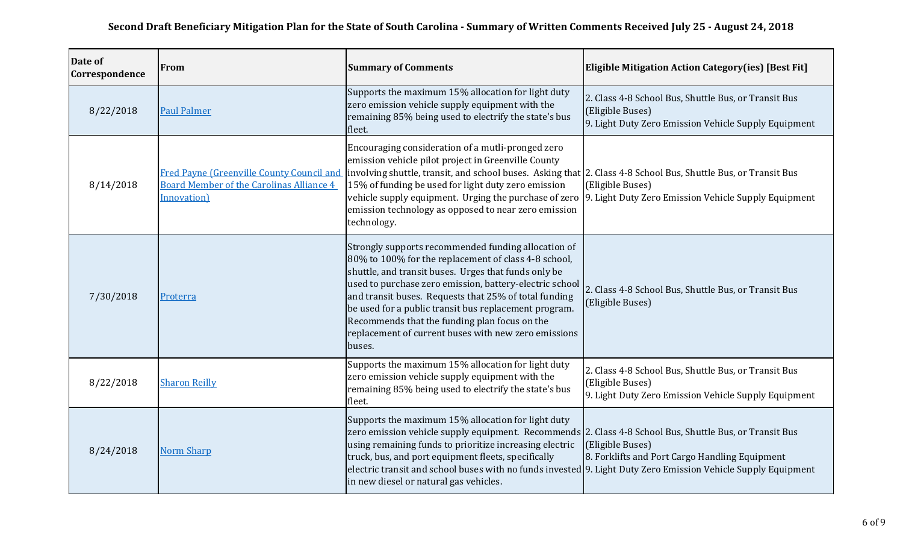| Date of<br>Correspondence | From                                                                                                        | <b>Summary of Comments</b>                                                                                                                                                                                                                                                                                                                                                                                                                                          | <b>Eligible Mitigation Action Category (ies) [Best Fit]</b>                                                                      |
|---------------------------|-------------------------------------------------------------------------------------------------------------|---------------------------------------------------------------------------------------------------------------------------------------------------------------------------------------------------------------------------------------------------------------------------------------------------------------------------------------------------------------------------------------------------------------------------------------------------------------------|----------------------------------------------------------------------------------------------------------------------------------|
| 8/22/2018                 | <b>Paul Palmer</b>                                                                                          | Supports the maximum 15% allocation for light duty<br>zero emission vehicle supply equipment with the<br>remaining 85% being used to electrify the state's bus<br>fleet.                                                                                                                                                                                                                                                                                            | 2. Class 4-8 School Bus, Shuttle Bus, or Transit Bus<br>(Eligible Buses)<br>9. Light Duty Zero Emission Vehicle Supply Equipment |
| 8/14/2018                 | Fred Payne (Greenville County Council and<br><b>Board Member of the Carolinas Alliance 4</b><br>Innovation) | Encouraging consideration of a mutli-pronged zero<br>emission vehicle pilot project in Greenville County<br>involving shuttle, transit, and school buses. Asking that 2. Class 4-8 School Bus, Shuttle Bus, or Transit Bus<br>15% of funding be used for light duty zero emission<br>emission technology as opposed to near zero emission<br>technology.                                                                                                            | (Eligible Buses)<br>vehicle supply equipment. Urging the purchase of zero [9. Light Duty Zero Emission Vehicle Supply Equipment  |
| 7/30/2018                 | Proterra                                                                                                    | Strongly supports recommended funding allocation of<br>80% to 100% for the replacement of class 4-8 school,<br>shuttle, and transit buses. Urges that funds only be<br>used to purchase zero emission, battery-electric school<br>and transit buses. Requests that 25% of total funding<br>be used for a public transit bus replacement program.<br>Recommends that the funding plan focus on the<br>replacement of current buses with new zero emissions<br>buses. | 2. Class 4-8 School Bus, Shuttle Bus, or Transit Bus<br>(Eligible Buses)                                                         |
| 8/22/2018                 | <b>Sharon Reilly</b>                                                                                        | Supports the maximum 15% allocation for light duty<br>zero emission vehicle supply equipment with the<br>remaining 85% being used to electrify the state's bus<br>fleet.                                                                                                                                                                                                                                                                                            | 2. Class 4-8 School Bus, Shuttle Bus, or Transit Bus<br>(Eligible Buses)<br>9. Light Duty Zero Emission Vehicle Supply Equipment |
| 8/24/2018                 | <b>Norm Sharp</b>                                                                                           | Supports the maximum 15% allocation for light duty<br>zero emission vehicle supply equipment. Recommends 2. Class 4-8 School Bus, Shuttle Bus, or Transit Bus<br>using remaining funds to prioritize increasing electric<br>truck, bus, and port equipment fleets, specifically<br>electric transit and school buses with no funds invested 9. Light Duty Zero Emission Vehicle Supply Equipment<br>in new diesel or natural gas vehicles.                          | (Eligible Buses)<br>8. Forklifts and Port Cargo Handling Equipment                                                               |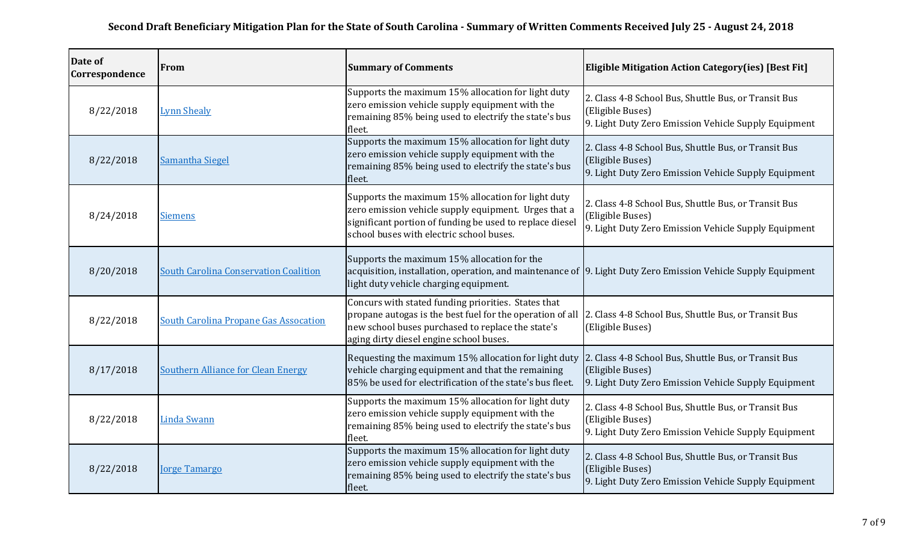| Date of<br>Correspondence | From                                         | <b>Summary of Comments</b>                                                                                                                                                                                                                                             | <b>Eligible Mitigation Action Category(ies) [Best Fit]</b>                                                                       |
|---------------------------|----------------------------------------------|------------------------------------------------------------------------------------------------------------------------------------------------------------------------------------------------------------------------------------------------------------------------|----------------------------------------------------------------------------------------------------------------------------------|
| 8/22/2018                 | <b>Lynn Shealy</b>                           | Supports the maximum 15% allocation for light duty<br>zero emission vehicle supply equipment with the<br>remaining 85% being used to electrify the state's bus<br>fleet.                                                                                               | 2. Class 4-8 School Bus, Shuttle Bus, or Transit Bus<br>(Eligible Buses)<br>9. Light Duty Zero Emission Vehicle Supply Equipment |
| 8/22/2018                 | <b>Samantha Siegel</b>                       | Supports the maximum 15% allocation for light duty<br>zero emission vehicle supply equipment with the<br>remaining 85% being used to electrify the state's bus<br>fleet.                                                                                               | 2. Class 4-8 School Bus, Shuttle Bus, or Transit Bus<br>(Eligible Buses)<br>9. Light Duty Zero Emission Vehicle Supply Equipment |
| 8/24/2018                 | <b>Siemens</b>                               | Supports the maximum 15% allocation for light duty<br>zero emission vehicle supply equipment. Urges that a<br>significant portion of funding be used to replace diesel<br>school buses with electric school buses.                                                     | 2. Class 4-8 School Bus, Shuttle Bus, or Transit Bus<br>(Eligible Buses)<br>9. Light Duty Zero Emission Vehicle Supply Equipment |
| 8/20/2018                 | <b>South Carolina Conservation Coalition</b> | Supports the maximum 15% allocation for the<br>acquisition, installation, operation, and maintenance of 9. Light Duty Zero Emission Vehicle Supply Equipment<br>light duty vehicle charging equipment.                                                                 |                                                                                                                                  |
| 8/22/2018                 | <b>South Carolina Propane Gas Assocation</b> | Concurs with stated funding priorities. States that<br>propane autogas is the best fuel for the operation of all [2. Class 4-8 School Bus, Shuttle Bus, or Transit Bus<br>new school buses purchased to replace the state's<br>aging dirty diesel engine school buses. | (Eligible Buses)                                                                                                                 |
| 8/17/2018                 | <b>Southern Alliance for Clean Energy</b>    | Requesting the maximum 15% allocation for light duty 2. Class 4-8 School Bus, Shuttle Bus, or Transit Bus<br>vehicle charging equipment and that the remaining<br>85% be used for electrification of the state's bus fleet.                                            | (Eligible Buses)<br>9. Light Duty Zero Emission Vehicle Supply Equipment                                                         |
| 8/22/2018                 | <b>Linda Swann</b>                           | Supports the maximum 15% allocation for light duty<br>zero emission vehicle supply equipment with the<br>remaining 85% being used to electrify the state's bus<br>fleet.                                                                                               | 2. Class 4-8 School Bus, Shuttle Bus, or Transit Bus<br>(Eligible Buses)<br>9. Light Duty Zero Emission Vehicle Supply Equipment |
| 8/22/2018                 | <b>Jorge Tamargo</b>                         | Supports the maximum 15% allocation for light duty<br>zero emission vehicle supply equipment with the<br>remaining 85% being used to electrify the state's bus<br>fleet.                                                                                               | 2. Class 4-8 School Bus, Shuttle Bus, or Transit Bus<br>(Eligible Buses)<br>9. Light Duty Zero Emission Vehicle Supply Equipment |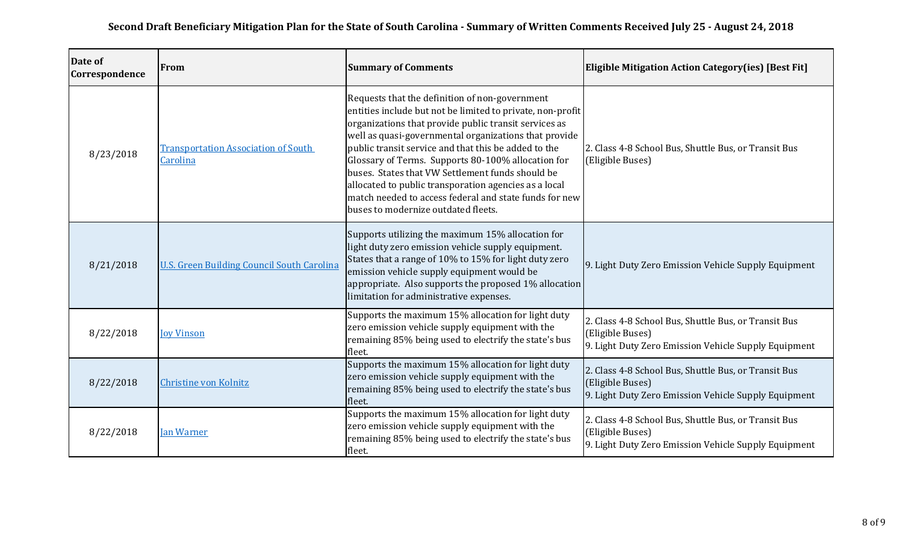| Date of<br>Correspondence | From                                                   | <b>Summary of Comments</b>                                                                                                                                                                                                                                                                                                                                                                                                                                                                                                                                 | <b>Eligible Mitigation Action Category (ies) [Best Fit]</b>                                                                      |
|---------------------------|--------------------------------------------------------|------------------------------------------------------------------------------------------------------------------------------------------------------------------------------------------------------------------------------------------------------------------------------------------------------------------------------------------------------------------------------------------------------------------------------------------------------------------------------------------------------------------------------------------------------------|----------------------------------------------------------------------------------------------------------------------------------|
| 8/23/2018                 | <b>Transportation Association of South</b><br>Carolina | Requests that the definition of non-government<br>entities include but not be limited to private, non-profit<br>organizations that provide public transit services as<br>well as quasi-governmental organizations that provide<br>public transit service and that this be added to the<br>Glossary of Terms. Supports 80-100% allocation for<br>buses. States that VW Settlement funds should be<br>allocated to public transporation agencies as a local<br>match needed to access federal and state funds for new<br>buses to modernize outdated fleets. | 2. Class 4-8 School Bus, Shuttle Bus, or Transit Bus<br>(Eligible Buses)                                                         |
| 8/21/2018                 | <b>U.S. Green Building Council South Carolina</b>      | Supports utilizing the maximum 15% allocation for<br>light duty zero emission vehicle supply equipment.<br>States that a range of 10% to 15% for light duty zero<br>emission vehicle supply equipment would be<br>appropriate. Also supports the proposed 1% allocation<br>limitation for administrative expenses.                                                                                                                                                                                                                                         | 9. Light Duty Zero Emission Vehicle Supply Equipment                                                                             |
| 8/22/2018                 | <b>Joy Vinson</b>                                      | Supports the maximum 15% allocation for light duty<br>zero emission vehicle supply equipment with the<br>remaining 85% being used to electrify the state's bus<br>fleet.                                                                                                                                                                                                                                                                                                                                                                                   | 2. Class 4-8 School Bus, Shuttle Bus, or Transit Bus<br>(Eligible Buses)<br>9. Light Duty Zero Emission Vehicle Supply Equipment |
| 8/22/2018                 | Christine von Kolnitz                                  | Supports the maximum 15% allocation for light duty<br>zero emission vehicle supply equipment with the<br>remaining 85% being used to electrify the state's bus<br>fleet.                                                                                                                                                                                                                                                                                                                                                                                   | 2. Class 4-8 School Bus, Shuttle Bus, or Transit Bus<br>(Eligible Buses)<br>9. Light Duty Zero Emission Vehicle Supply Equipment |
| 8/22/2018                 | <b>Jan Warner</b>                                      | Supports the maximum 15% allocation for light duty<br>zero emission vehicle supply equipment with the<br>remaining 85% being used to electrify the state's bus<br>fleet.                                                                                                                                                                                                                                                                                                                                                                                   | 2. Class 4-8 School Bus, Shuttle Bus, or Transit Bus<br>(Eligible Buses)<br>9. Light Duty Zero Emission Vehicle Supply Equipment |